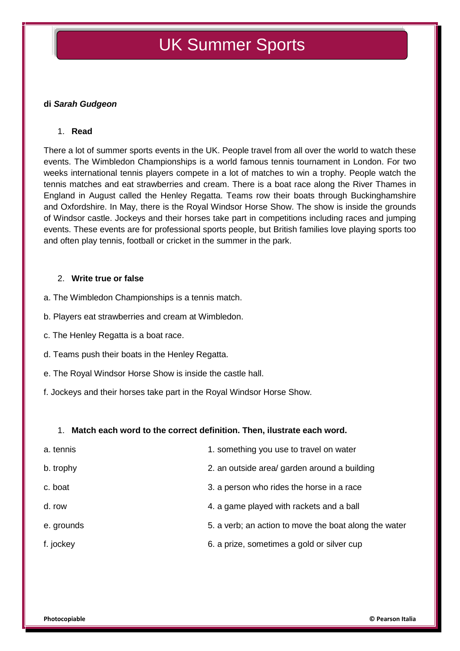# UK Summer Sports

### **di** *Sarah Gudgeon*

#### 1. **Read**

There a lot of summer sports events in the UK. People travel from all over the world to watch these events. The Wimbledon Championships is a world famous tennis tournament in London. For two weeks international tennis players compete in a lot of matches to win a trophy. People watch the tennis matches and eat strawberries and cream. There is a boat race along the River Thames in England in August called the Henley Regatta. Teams row their boats through Buckinghamshire and Oxfordshire. In May, there is the Royal Windsor Horse Show. The show is inside the grounds of Windsor castle. Jockeys and their horses take part in competitions including races and jumping events. These events are for professional sports people, but British families love playing sports too and often play tennis, football or cricket in the summer in the park.

#### 2. **Write true or false**

a. The Wimbledon Championships is a tennis match.

- b. Players eat strawberries and cream at Wimbledon.
- c. The Henley Regatta is a boat race.
- d. Teams push their boats in the Henley Regatta.
- e. The Royal Windsor Horse Show is inside the castle hall.
- f. Jockeys and their horses take part in the Royal Windsor Horse Show.

#### 1. **Match each word to the correct definition. Then, ilustrate each word.**

| a. tennis  | 1. something you use to travel on water               |
|------------|-------------------------------------------------------|
| b. trophy  | 2. an outside area/ garden around a building          |
| c. boat    | 3. a person who rides the horse in a race             |
| d. row     | 4. a game played with rackets and a ball              |
| e. grounds | 5. a verb; an action to move the boat along the water |
| f. jockey  | 6. a prize, sometimes a gold or silver cup            |